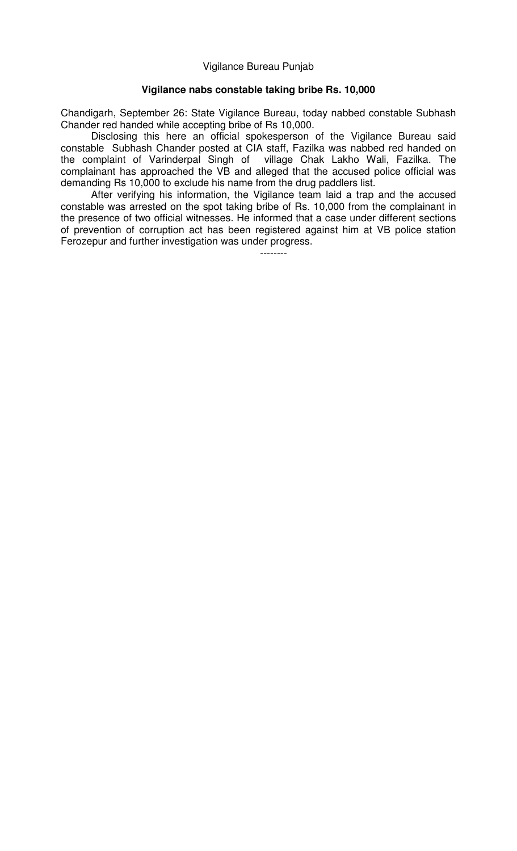Vigilance Bureau Punjab

## **Vigilance nabs constable taking bribe Rs. 10,000**

Chandigarh, September 26: State Vigilance Bureau, today nabbed constable Subhash Chander red handed while accepting bribe of Rs 10,000.

Disclosing this here an official spokesperson of the Vigilance Bureau said constable Subhash Chander posted at CIA staff, Fazilka was nabbed red handed on the complaint of Varinderpal Singh of village Chak Lakho Wali, Fazilka. The complainant has approached the VB and alleged that the accused police official was demanding Rs 10,000 to exclude his name from the drug paddlers list.

After verifying his information, the Vigilance team laid a trap and the accused constable was arrested on the spot taking bribe of Rs. 10,000 from the complainant in the presence of two official witnesses. He informed that a case under different sections of prevention of corruption act has been registered against him at VB police station Ferozepur and further investigation was under progress.

--------